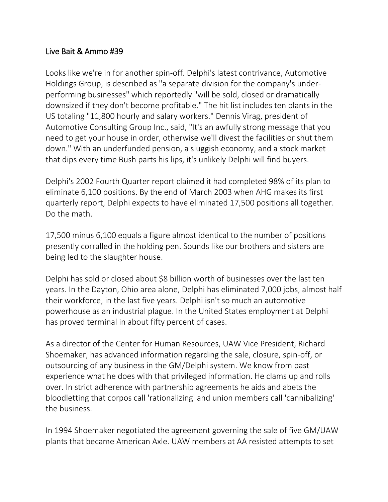## Live Bait & Ammo #39

Looks like we're in for another spin-off. Delphi's latest contrivance, Automotive Holdings Group, is described as "a separate division for the company's underperforming businesses" which reportedly "will be sold, closed or dramatically downsized if they don't become profitable." The hit list includes ten plants in the US totaling "11,800 hourly and salary workers." Dennis Virag, president of Automotive Consulting Group Inc., said, "It's an awfully strong message that you need to get your house in order, otherwise we'll divest the facilities or shut them down." With an underfunded pension, a sluggish economy, and a stock market that dips every time Bush parts his lips, it's unlikely Delphi will find buyers.

Delphi's 2002 Fourth Quarter report claimed it had completed 98% of its plan to eliminate 6,100 positions. By the end of March 2003 when AHG makes its first quarterly report, Delphi expects to have eliminated 17,500 positions all together. Do the math.

17,500 minus 6,100 equals a figure almost identical to the number of positions presently corralled in the holding pen. Sounds like our brothers and sisters are being led to the slaughter house.

Delphi has sold or closed about \$8 billion worth of businesses over the last ten years. In the Dayton, Ohio area alone, Delphi has eliminated 7,000 jobs, almost half their workforce, in the last five years. Delphi isn't so much an automotive powerhouse as an industrial plague. In the United States employment at Delphi has proved terminal in about fifty percent of cases.

As a director of the Center for Human Resources, UAW Vice President, Richard Shoemaker, has advanced information regarding the sale, closure, spin-off, or outsourcing of any business in the GM/Delphi system. We know from past experience what he does with that privileged information. He clams up and rolls over. In strict adherence with partnership agreements he aids and abets the bloodletting that corpos call 'rationalizing' and union members call 'cannibalizing' the business.

In 1994 Shoemaker negotiated the agreement governing the sale of five GM/UAW plants that became American Axle. UAW members at AA resisted attempts to set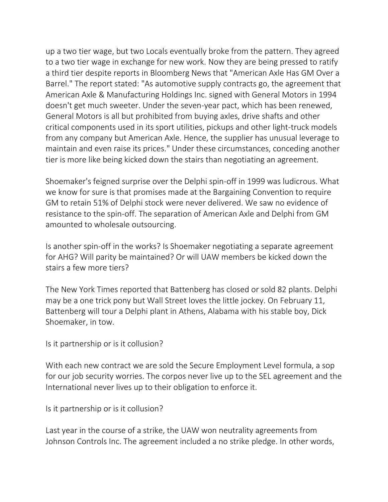up a two tier wage, but two Locals eventually broke from the pattern. They agreed to a two tier wage in exchange for new work. Now they are being pressed to ratify a third tier despite reports in Bloomberg News that "American Axle Has GM Over a Barrel." The report stated: "As automotive supply contracts go, the agreement that American Axle & Manufacturing Holdings Inc. signed with General Motors in 1994 doesn't get much sweeter. Under the seven-year pact, which has been renewed, General Motors is all but prohibited from buying axles, drive shafts and other critical components used in its sport utilities, pickups and other light-truck models from any company but American Axle. Hence, the supplier has unusual leverage to maintain and even raise its prices." Under these circumstances, conceding another tier is more like being kicked down the stairs than negotiating an agreement.

Shoemaker's feigned surprise over the Delphi spin-off in 1999 was ludicrous. What we know for sure is that promises made at the Bargaining Convention to require GM to retain 51% of Delphi stock were never delivered. We saw no evidence of resistance to the spin-off. The separation of American Axle and Delphi from GM amounted to wholesale outsourcing.

Is another spin-off in the works? Is Shoemaker negotiating a separate agreement for AHG? Will parity be maintained? Or will UAW members be kicked down the stairs a few more tiers?

The New York Times reported that Battenberg has closed or sold 82 plants. Delphi may be a one trick pony but Wall Street loves the little jockey. On February 11, Battenberg will tour a Delphi plant in Athens, Alabama with his stable boy, Dick Shoemaker, in tow.

Is it partnership or is it collusion?

With each new contract we are sold the Secure Employment Level formula, a sop for our job security worries. The corpos never live up to the SEL agreement and the International never lives up to their obligation to enforce it.

Is it partnership or is it collusion?

Last year in the course of a strike, the UAW won neutrality agreements from Johnson Controls Inc. The agreement included a no strike pledge. In other words,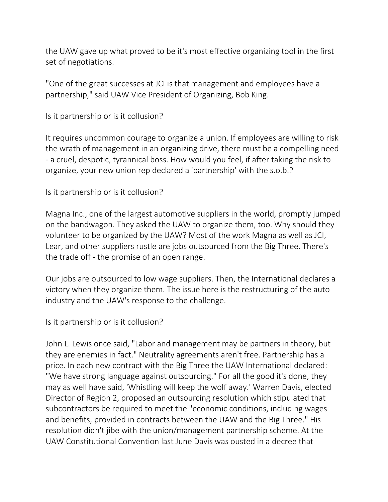the UAW gave up what proved to be it's most effective organizing tool in the first set of negotiations.

"One of the great successes at JCI is that management and employees have a partnership," said UAW Vice President of Organizing, Bob King.

Is it partnership or is it collusion?

It requires uncommon courage to organize a union. If employees are willing to risk the wrath of management in an organizing drive, there must be a compelling need - a cruel, despotic, tyrannical boss. How would you feel, if after taking the risk to organize, your new union rep declared a 'partnership' with the s.o.b.?

Is it partnership or is it collusion?

Magna Inc., one of the largest automotive suppliers in the world, promptly jumped on the bandwagon. They asked the UAW to organize them, too. Why should they volunteer to be organized by the UAW? Most of the work Magna as well as JCI, Lear, and other suppliers rustle are jobs outsourced from the Big Three. There's the trade off - the promise of an open range.

Our jobs are outsourced to low wage suppliers. Then, the International declares a victory when they organize them. The issue here is the restructuring of the auto industry and the UAW's response to the challenge.

Is it partnership or is it collusion?

John L. Lewis once said, "Labor and management may be partners in theory, but they are enemies in fact." Neutrality agreements aren't free. Partnership has a price. In each new contract with the Big Three the UAW International declared: "We have strong language against outsourcing." For all the good it's done, they may as well have said, 'Whistling will keep the wolf away.' Warren Davis, elected Director of Region 2, proposed an outsourcing resolution which stipulated that subcontractors be required to meet the "economic conditions, including wages and benefits, provided in contracts between the UAW and the Big Three." His resolution didn't jibe with the union/management partnership scheme. At the UAW Constitutional Convention last June Davis was ousted in a decree that